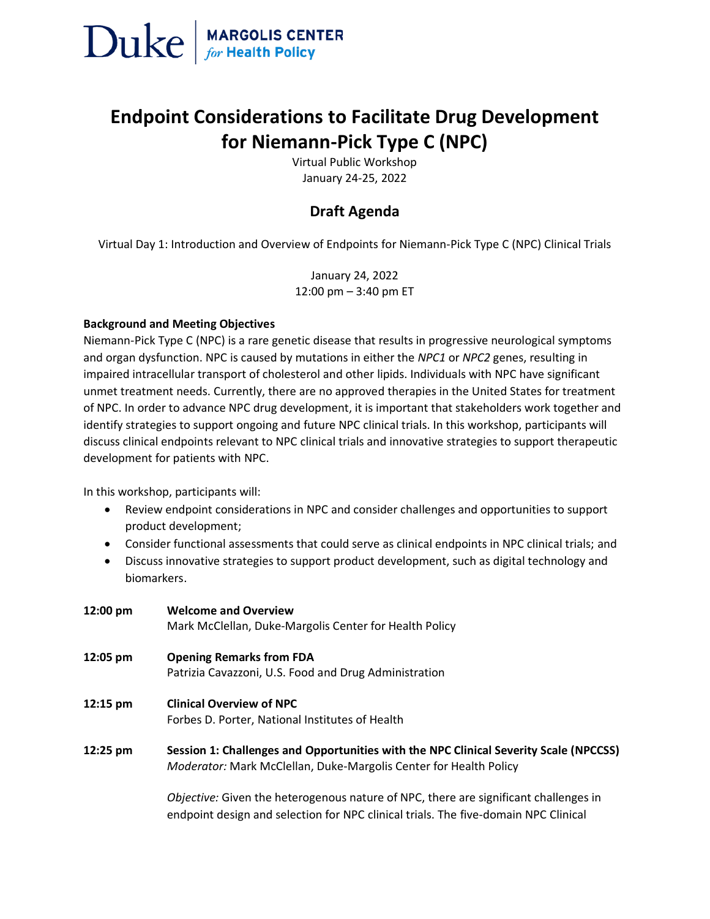

# **Endpoint Considerations to Facilitate Drug Development for Niemann-Pick Type C (NPC)**

Virtual Public Workshop January 24-25, 2022

# **Draft Agenda**

Virtual Day 1: Introduction and Overview of Endpoints for Niemann-Pick Type C (NPC) Clinical Trials

January 24, 2022 12:00 pm – 3:40 pm ET

### **Background and Meeting Objectives**

Niemann-Pick Type C (NPC) is a rare genetic disease that results in progressive neurological symptoms and organ dysfunction. NPC is caused by mutations in either the *NPC1* or *NPC2* genes, resulting in impaired intracellular transport of cholesterol and other lipids. Individuals with NPC have significant unmet treatment needs. Currently, there are no approved therapies in the United States for treatment of NPC. In order to advance NPC drug development, it is important that stakeholders work together and identify strategies to support ongoing and future NPC clinical trials. In this workshop, participants will discuss clinical endpoints relevant to NPC clinical trials and innovative strategies to support therapeutic development for patients with NPC.

In this workshop, participants will:

- Review endpoint considerations in NPC and consider challenges and opportunities to support product development;
- Consider functional assessments that could serve as clinical endpoints in NPC clinical trials; and
- Discuss innovative strategies to support product development, such as digital technology and biomarkers.

| 12:00 pm | <b>Welcome and Overview</b><br>Mark McClellan, Duke-Margolis Center for Health Policy                                                                                       |
|----------|-----------------------------------------------------------------------------------------------------------------------------------------------------------------------------|
| 12:05 pm | <b>Opening Remarks from FDA</b><br>Patrizia Cavazzoni, U.S. Food and Drug Administration                                                                                    |
| 12:15 pm | <b>Clinical Overview of NPC</b><br>Forbes D. Porter, National Institutes of Health                                                                                          |
| 12:25 pm | Session 1: Challenges and Opportunities with the NPC Clinical Severity Scale (NPCCSS)<br>Moderator: Mark McClellan, Duke-Margolis Center for Health Policy                  |
|          | Objective: Given the heterogenous nature of NPC, there are significant challenges in<br>endpoint design and selection for NPC clinical trials. The five-domain NPC Clinical |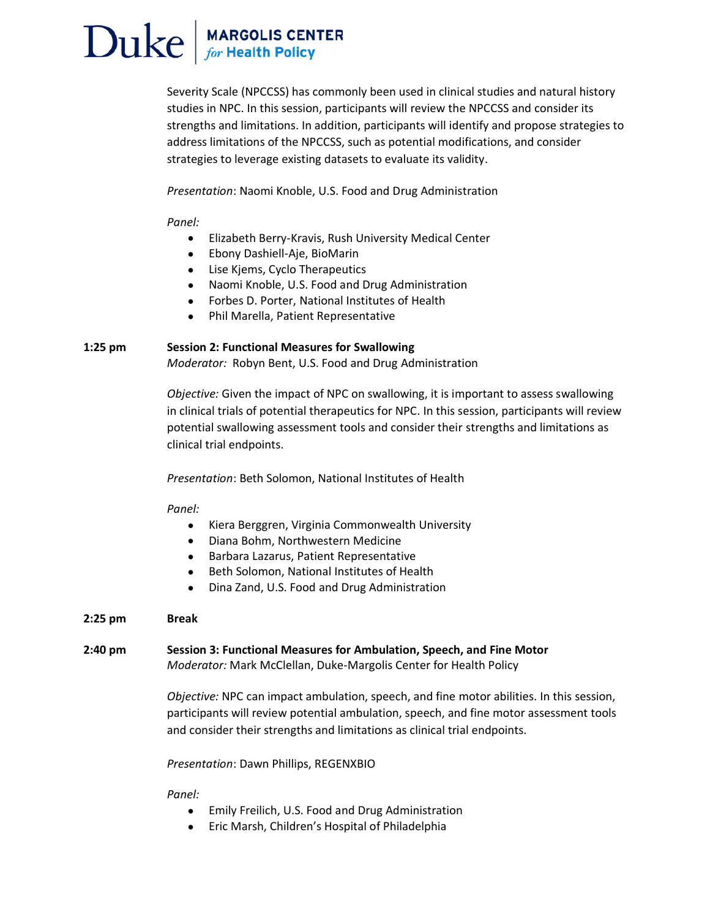# $\text{Duke}$  MARGOLIS CENTER

Severity Scale (NPCCSS) has commonly been used in clinical studies and natural history studies in NPC. In this session, participants will review the NPCCSS and consider its strengths and limitations. In addition, participants will identify and propose strategies to address limitations of the NPCCSS, such as potential modifications, and consider strategies to leverage existing datasets to evaluate its validity.

*Presentation*: Naomi Knoble, U.S. Food and Drug Administration

### *Panel:*

- Elizabeth Berry-Kravis, Rush University Medical Center
- Ebony Dashiell-Aje, BioMarin
- Lise Kjems, Cyclo Therapeutics
- Naomi Knoble, U.S. Food and Drug Administration
- Forbes D. Porter, National Institutes of Health
- Phil Marella, Patient Representative

# **1:25 pm Session 2: Functional Measures for Swallowing**

*Moderator:* Robyn Bent, U.S. Food and Drug Administration

*Objective:* Given the impact of NPC on swallowing, it is important to assess swallowing in clinical trials of potential therapeutics for NPC. In this session, participants will review potential swallowing assessment tools and consider their strengths and limitations as clinical trial endpoints.

*Presentation*: Beth Solomon, National Institutes of Health

#### *Panel:*

- Kiera Berggren, Virginia Commonwealth University
- Diana Bohm, Northwestern Medicine
- Barbara Lazarus, Patient Representative
- Beth Solomon, National Institutes of Health
- Dina Zand, U.S. Food and Drug Administration

# **2:25 pm Break**

**2:40 pm Session 3: Functional Measures for Ambulation, Speech, and Fine Motor** *Moderator:* Mark McClellan, Duke-Margolis Center for Health Policy

> *Objective:* NPC can impact ambulation, speech, and fine motor abilities. In this session, participants will review potential ambulation, speech, and fine motor assessment tools and consider their strengths and limitations as clinical trial endpoints.

#### *Presentation*: Dawn Phillips, REGENXBIO

*Panel:* 

- Emily Freilich, U.S. Food and Drug Administration
- Eric Marsh, Children's Hospital of Philadelphia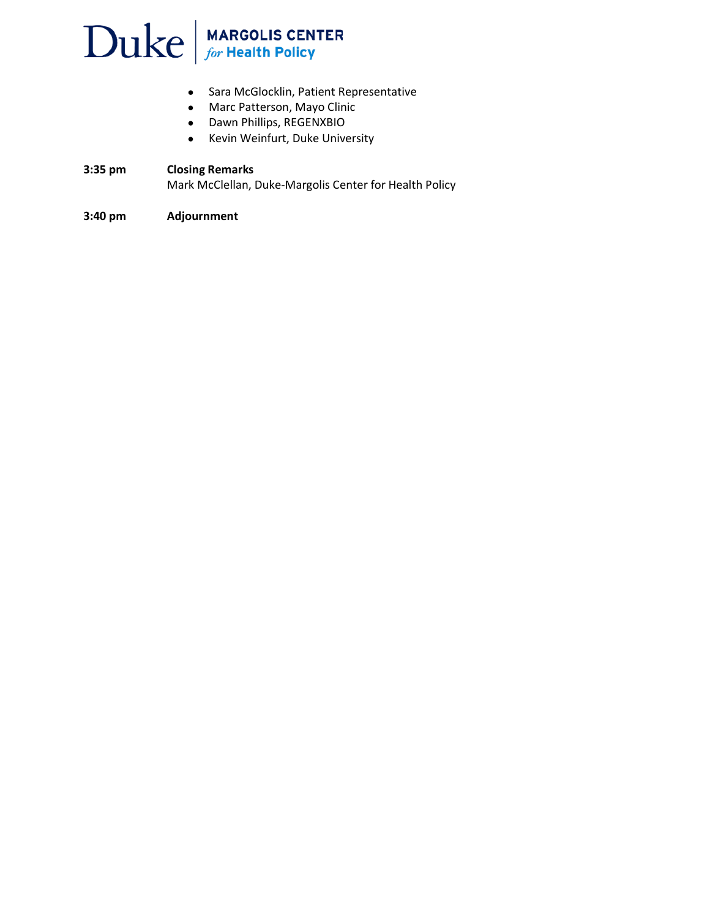# $\sum$ uke  $\int_{\text{for Health Policy}}$

- Sara McGlocklin, Patient Representative
- Marc Patterson, Mayo Clinic
- Dawn Phillips, REGENXBIO
- Kevin Weinfurt, Duke University

# **3:35 pm Closing Remarks** Mark McClellan, Duke-Margolis Center for Health Policy

# **3:40 pm Adjournment**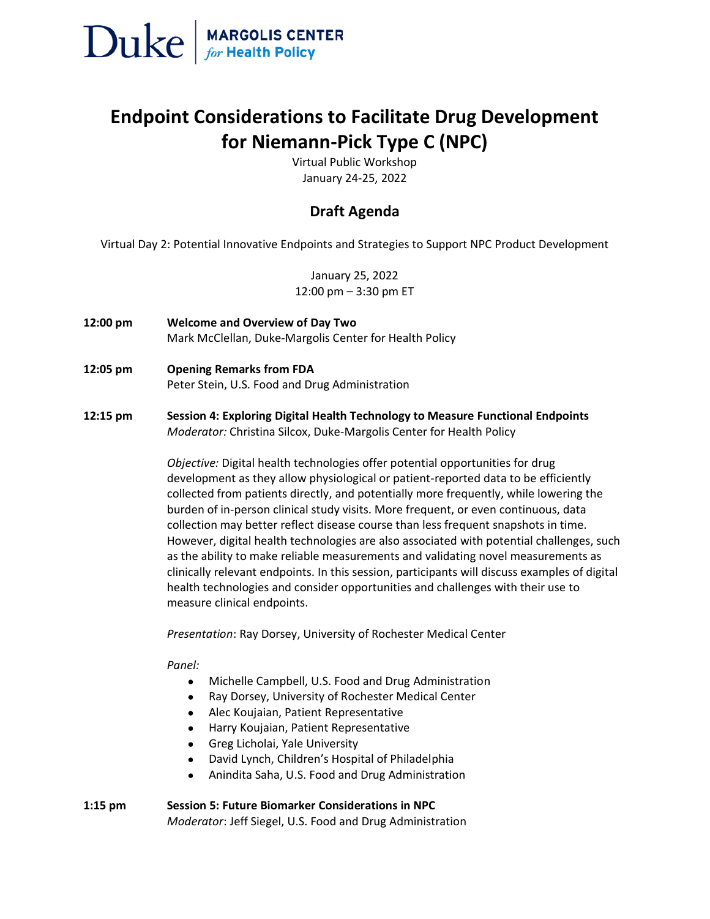

# **Endpoint Considerations to Facilitate Drug Development for Niemann-Pick Type C (NPC)**

Virtual Public Workshop January 24-25, 2022

# **Draft Agenda**

Virtual Day 2: Potential Innovative Endpoints and Strategies to Support NPC Product Development

January 25, 2022 12:00 pm – 3:30 pm ET

- **12:00 pm Welcome and Overview of Day Two** Mark McClellan, Duke-Margolis Center for Health Policy
- **12:05 pm Opening Remarks from FDA** Peter Stein, U.S. Food and Drug Administration
- **12:15 pm Session 4: Exploring Digital Health Technology to Measure Functional Endpoints** *Moderator:* Christina Silcox, Duke-Margolis Center for Health Policy

*Objective:* Digital health technologies offer potential opportunities for drug development as they allow physiological or patient-reported data to be efficiently collected from patients directly, and potentially more frequently, while lowering the burden of in-person clinical study visits. More frequent, or even continuous, data collection may better reflect disease course than less frequent snapshots in time. However, digital health technologies are also associated with potential challenges, such as the ability to make reliable measurements and validating novel measurements as clinically relevant endpoints. In this session, participants will discuss examples of digital health technologies and consider opportunities and challenges with their use to measure clinical endpoints.

*Presentation*: Ray Dorsey, University of Rochester Medical Center

*Panel:*

- Michelle Campbell, U.S. Food and Drug Administration
- Ray Dorsey, University of Rochester Medical Center
- Alec Koujaian, Patient Representative
- Harry Koujaian, Patient Representative
- Greg Licholai, Yale University
- David Lynch, Children's Hospital of Philadelphia
- Anindita Saha, U.S. Food and Drug Administration

### **1:15 pm Session 5: Future Biomarker Considerations in NPC**  *Moderator*: Jeff Siegel, U.S. Food and Drug Administration